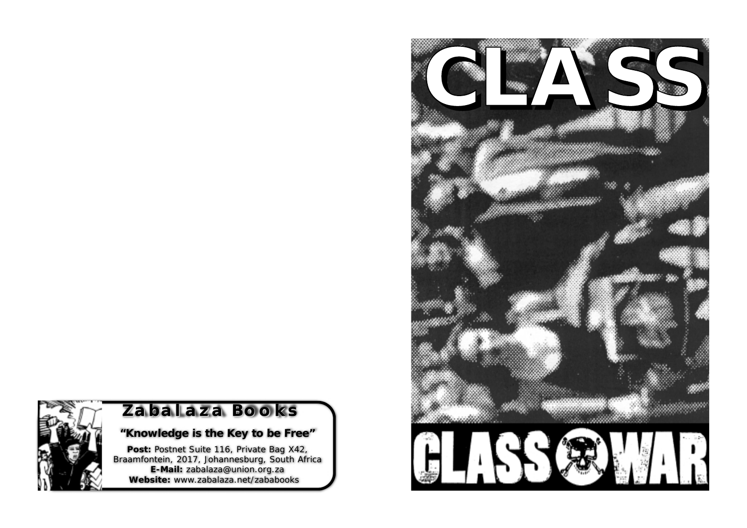

# **Zabalaza Books balaza Books**

# *"Knowledge is the Key to be Free"*

**Post:** Postnet Suite 116, Private Bag X42, Braamfontein, 2017, Johannesburg, South Africa **E-Mail:** zabalaza@union.org.za **Website:** www.zabalaza.net/zababooks

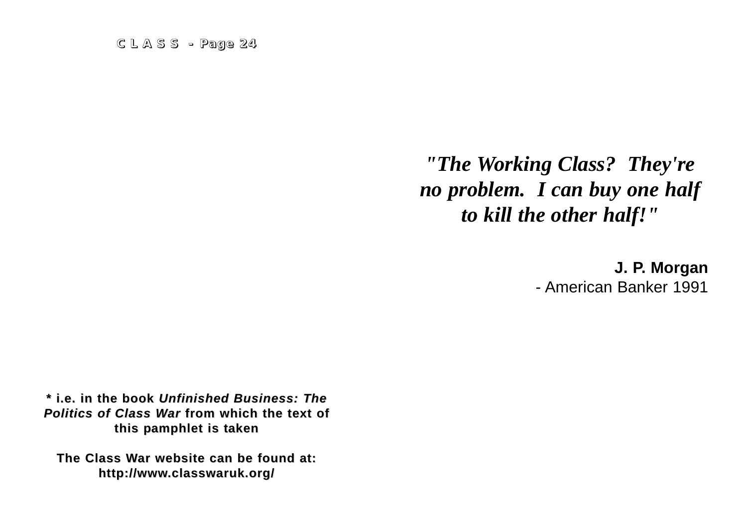*"The Working Class? They're no problem. I can buy one half to kill the other half!"*

> **J. P. Morgan** - American Banker 1991

**\* i.e. in the book \* i.e. in the book** *Unfinished Business: The Unfinished Business: The Politics of Class War* **from which the text of from which the text of this pamphlet is taken** 

**The Class War website can be found at: http://www.classwaruk.org/ .classwaruk.org/**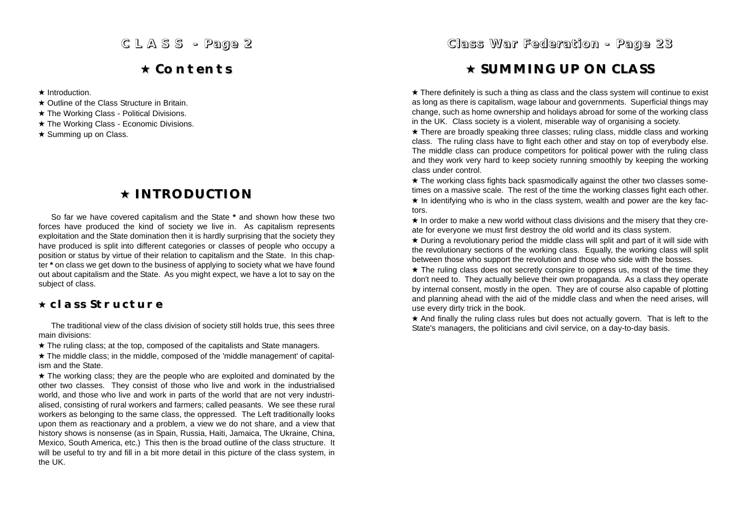# **Contents Contents**

 $\star$  Introduction.

- **★ Outline of the Class Structure in Britain.**
- ★ The Working Class Political Divisions.
- \* The Working Class Economic Divisions.
- $\star$  Summing up on Class.

# **INTRODUCTION**

So far we have covered capitalism and the State **\*** and shown how these two forces have produced the kind of society we live in. As capitalism represents exploitation and the State domination then it is hardly surprising that the society they have produced is split into different categories or classes of people who occupy a position or status by virtue of their relation to capitalism and the State. In this chapter **\*** on class we get down to the business of applying to society what we have found out about capitalism and the State. As you might expect, we have a lot to say on the subject of class.

### **class Structure class Structure**

The traditional view of the class division of society still holds true, this sees three main divisions:

 $\star$  The ruling class; at the top, composed of the capitalists and State managers.

 $\star$  The middle class; in the middle, composed of the 'middle management' of capitalism and the State.

 $\star$  The working class; they are the people who are exploited and dominated by the other two classes. They consist of those who live and work in the industrialised world, and those who live and work in parts of the world that are not very industrialised, consisting of rural workers and farmers; called peasants. We see these rural workers as belonging to the same class, the oppressed. The Left traditionally looks upon them as reactionary and a problem, a view we do not share, and a view that history shows is nonsense (as in Spain, Russia, Haiti, Jamaica, The Ukraine, China, Mexico, South America, etc.) This then is the broad outline of the class structure. It will be useful to try and fill in a bit more detail in this picture of the class system, in the UK.

### *Class War Federation - Page 23*

# **SUMMING UP ON CLASS SUMMING UP ON CLASS**

 $\star$  There definitely is such a thing as class and the class system will continue to exist as long as there is capitalism, wage labour and governments. Superficial things may change, such as home ownership and holidays abroad for some of the working class in the UK. Class society is a violent, miserable way of organising a society.

★ There are broadly speaking three classes: ruling class, middle class and working class. The ruling class have to fight each other and stay on top of everybody else. The middle class can produce competitors for political power with the ruling class and they work very hard to keep society running smoothly by keeping the working class under control.

 $\star$  The working class fights back spasmodically against the other two classes sometimes on a massive scale. The rest of the time the working classes fight each other.

 $\star$  In identifying who is who in the class system, wealth and power are the key factors.

 $\star$  In order to make a new world without class divisions and the misery that they create for everyone we must first destroy the old world and its class system.

 $\star$  During a revolutionary period the middle class will split and part of it will side with the revolutionary sections of the working class. Equally, the working class will split between those who support the revolution and those who side with the bosses.

 $\star$  The ruling class does not secretly conspire to oppress us, most of the time they don't need to. They actually believe their own propaganda. As a class they operate by internal consent, mostly in the open. They are of course also capable of plotting and planning ahead with the aid of the middle class and when the need arises, will use every dirty trick in the book.

 $\star$  And finally the ruling class rules but does not actually govern. That is left to the State's managers, the politicians and civil service, on a day-to-day basis.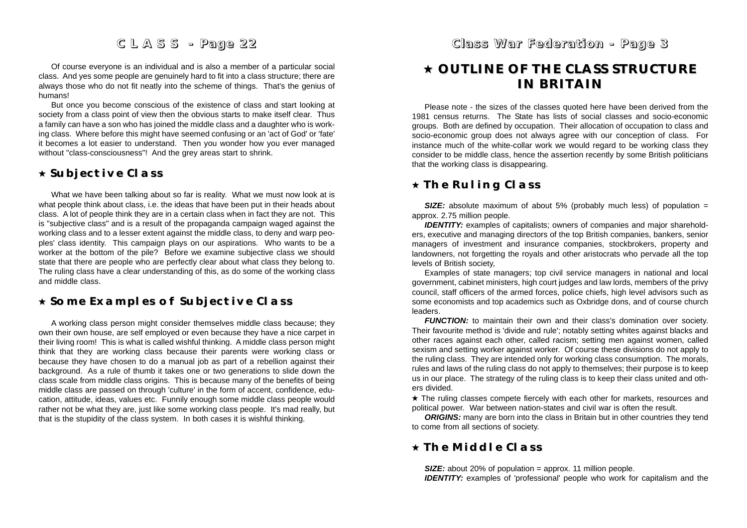Of course everyone is an individual and is also a member of a particular social class. And yes some people are genuinely hard to fit into a class structure; there are always those who do not fit neatly into the scheme of things. That's the genius of humans!

But once you become conscious of the existence of class and start looking at society from a class point of view then the obvious starts to make itself clear. Thus a family can have a son who has joined the middle class and a daughter who is working class. Where before this might have seemed confusing or an 'act of God' or 'fate' it becomes a lot easier to understand. Then you wonder how you ever managed without "class-consciousness"! And the grey areas start to shrink.

### **Subjective Class Subjective Class**

What we have been talking about so far is reality. What we must now look at is what people think about class, i.e. the ideas that have been put in their heads about class. A lot of people think they are in a certain class when in fact they are not. This is "subjective class" and is a result of the propaganda campaign waged against the working class and to a lesser extent against the middle class, to deny and warp peoples' class identity. This campaign plays on our aspirations. Who wants to be a worker at the bottom of the pile? Before we examine subjective class we should state that there are people who are perfectly clear about what class they belong to. The ruling class have a clear understanding of this, as do some of the working class and middle class.

### **Some Examples of Subjective Class Some Examples of Subjective Class**

A working class person might consider themselves middle class because; they own their own house, are self employed or even because they have a nice carpet in their living room! This is what is called wishful thinking. A middle class person might think that they are working class because their parents were working class or because they have chosen to do a manual job as part of a rebellion against their background. As a rule of thumb it takes one or two generations to slide down the class scale from middle class origins. This is because many of the benefits of being middle class are passed on through 'culture' in the form of accent, confidence, education, attitude, ideas, values etc. Funnily enough some middle class people would rather not be what they are, just like some working class people. It's mad really, but that is the stupidity of the class system. In both cases it is wishful thinking.

### *Class War Fe d eration - Pag e 3*

# **OUTLINE OF THE CLASS STRUCTURE OUTLINE OF THE CLASS STRUCTURE IN BRITAIN**

Please note - the sizes of the classes quoted here have been derived from the 1981 census returns. The State has lists of social classes and socio-economic groups. Both are defined by occupation. Their allocation of occupation to class and socio-economic group does not always agree with our conception of class. For instance much of the white-collar work we would regard to be working class they consider to be middle class, hence the assertion recently by some British politicians that the working class is disappearing.

### **The Ruling Class The Ruling Class**

*SIZE:* absolute maximum of about 5% (probably much less) of population = approx. 2.75 million people.

**IDENTITY:** examples of capitalists; owners of companies and major shareholders, executive and managing directors of the top British companies, bankers, senior managers of investment and insurance companies, stockbrokers, property and landowners, not forgetting the royals and other aristocrats who pervade all the top levels of British society,

Examples of state managers; top civil service managers in national and local government, cabinet ministers, high court judges and law lords, members of the privy council, staff officers of the armed forces, police chiefs, high level advisors such as some economists and top academics such as Oxbridge dons, and of course church leaders.

*FUNCTION:* to maintain their own and their class's domination over society. Their favourite method is 'divide and rule'; notably setting whites against blacks and other races against each other, called racism; setting men against women, called sexism and setting worker against worker. Of course these divisions do not apply to the ruling class. They are intended only for working class consumption. The morals, rules and laws of the ruling class do not apply to themselves; their purpose is to keep us in our place. The strategy of the ruling class is to keep their class united and others divided.

 $\star$  The ruling classes compete fiercely with each other for markets, resources and political power. War between nation-states and civil war is often the result.

**ORIGINS:** many are born into the class in Britain but in other countries they tend to come from all sections of society.

### **The Middle Class Middle**

*SIZE:* about 20% of population = approx. 11 million people. **IDENTITY:** examples of 'professional' people who work for capitalism and the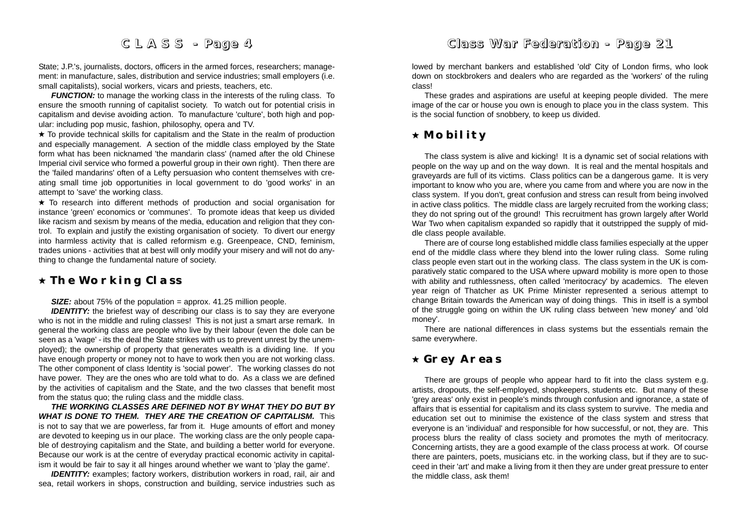State; J.P.'s, journalists, doctors, officers in the armed forces, researchers; management: in manufacture, sales, distribution and service industries; small employers (i.e. small capitalists), social workers, vicars and priests, teachers, etc.

*FUNCTION:* to manage the working class in the interests of the ruling class. To ensure the smooth running of capitalist society. To watch out for potential crisis in capitalism and devise avoiding action. To manufacture 'culture', both high and popular: including pop music, fashion, philosophy, opera and TV.

 $\star$  To provide technical skills for capitalism and the State in the realm of production and especially management. A section of the middle class employed by the State form what has been nicknamed 'the mandarin class' (named after the old Chinese Imperial civil service who formed a powerful group in their own right). Then there are the 'failed mandarins' often of a Lefty persuasion who content themselves with creating small time job opportunities in local government to do 'good works' in an attempt to 'save' the working class.

 To research into different methods of production and social organisation for instance 'green' economics or 'communes'. To promote ideas that keep us divided like racism and sexism by means of the media, education and religion that they control. To explain and justify the existing organisation of society. To divert our energy into harmless activity that is called reformism e.g. Greenpeace, CND, feminism, trades unions - activities that at best will only modify your misery and will not do anything to change the fundamental nature of society.

### **The Working Class The Working Class**

**SIZE:** about 75% of the population = approx. 41.25 million people.

**IDENTITY:** the briefest way of describing our class is to say they are everyone who is not in the middle and ruling classes! This is not just a smart arse remark. In general the working class are people who live by their labour (even the dole can be seen as a 'wage' - its the deal the State strikes with us to prevent unrest by the unemployed); the ownership of property that generates wealth is a dividing line. If you have enough property or money not to have to work then you are not working class. The other component of class Identity is 'social power'. The working classes do not have power. They are the ones who are told what to do. As a class we are defined by the activities of capitalism and the State, and the two classes that benefit most from the status quo; the ruling class and the middle class.

*THE WORKING CLASSES ARE DEFINED NOT BY WHAT THEY DO BUT BY WHAT IS DONE TO THEM. THEY ARE THE CREATION OF CAPITALISM.* This is not to say that we are powerless, far from it. Huge amounts of effort and money are devoted to keeping us in our place. The working class are the only people capable of destroying capitalism and the State, and building a better world for everyone. Because our work is at the centre of everyday practical economic activity in capitalism it would be fair to say it all hinges around whether we want to 'play the game'.

**IDENTITY:** examples; factory workers, distribution workers in road, rail, air and sea, retail workers in shops, construction and building, service industries such as

# *Class War Fe d eration - Pag e 21*

lowed by merchant bankers and established 'old' City of London firms, who look down on stockbrokers and dealers who are regarded as the 'workers' of the ruling class!

These grades and aspirations are useful at keeping people divided. The mere image of the car or house you own is enough to place you in the class system. This is the social function of snobbery, to keep us divided.

# **Mobility**

The class system is alive and kicking! It is a dynamic set of social relations with people on the way up and on the way down. It is real and the mental hospitals and graveyards are full of its victims. Class politics can be a dangerous game. It is very important to know who you are, where you came from and where you are now in the class system. If you don't, great confusion and stress can result from being involved in active class politics. The middle class are largely recruited from the working class; they do not spring out of the ground! This recruitment has grown largely after World War Two when capitalism expanded so rapidly that it outstripped the supply of middle class people available.

There are of course long established middle class families especially at the upper end of the middle class where they blend into the lower ruling class. Some ruling class people even start out in the working class. The class system in the UK is comparatively static compared to the USA where upward mobility is more open to those with ability and ruthlessness, often called 'meritocracy' by academics. The eleven year reign of Thatcher as UK Prime Minister represented a serious attempt to change Britain towards the American way of doing things. This in itself is a symbol of the struggle going on within the UK ruling class between 'new money' and 'old money'.

There are national differences in class systems but the essentials remain the same everywhere.

# **Grey Areas Grey Areas**

There are groups of people who appear hard to fit into the class system e.g. artists, dropouts, the self-employed, shopkeepers, students etc. But many of these 'grey areas' only exist in people's minds through confusion and ignorance, a state of affairs that is essential for capitalism and its class system to survive. The media and education set out to minimise the existence of the class system and stress that everyone is an 'individual' and responsible for how successful, or not, they are. This process blurs the reality of class society and promotes the myth of meritocracy. Concerning artists, they are a good example of the class process at work. Of course there are painters, poets, musicians etc. in the working class, but if they are to succeed in their 'art' and make a living from it then they are under great pressure to enter the middle class, ask them!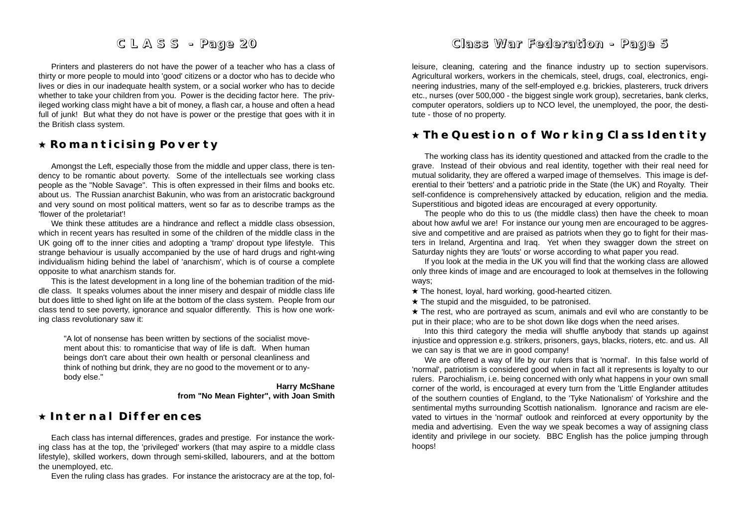Printers and plasterers do not have the power of a teacher who has a class of thirty or more people to mould into 'good' citizens or a doctor who has to decide who lives or dies in our inadequate health system, or a social worker who has to decide whether to take your children from you. Power is the deciding factor here. The privileged working class might have a bit of money, a flash car, a house and often a head full of junk! But what they do not have is power or the prestige that goes with it in the British class system.

### **Romanticising Poverty**

Amongst the Left, especially those from the middle and upper class, there is tendency to be romantic about poverty. Some of the intellectuals see working class people as the "Noble Savage". This is often expressed in their films and books etc. about us. The Russian anarchist Bakunin, who was from an aristocratic background and very sound on most political matters, went so far as to describe tramps as the 'flower of the proletariat'!

We think these attitudes are a hindrance and reflect a middle class obsession, which in recent years has resulted in some of the children of the middle class in the UK going off to the inner cities and adopting a 'tramp' dropout type lifestyle. This strange behaviour is usually accompanied by the use of hard drugs and right-wing individualism hiding behind the label of 'anarchism', which is of course a complete opposite to what anarchism stands for.

This is the latest development in a long line of the bohemian tradition of the middle class. It speaks volumes about the inner misery and despair of middle class life but does little to shed light on life at the bottom of the class system. People from our class tend to see poverty, ignorance and squalor differently. This is how one working class revolutionary saw it:

"A lot of nonsense has been written by sections of the socialist movement about this: to romanticise that way of life is daft. When human beings don't care about their own health or personal cleanliness and think of nothing but drink, they are no good to the movement or to anybody else."

> **Harry McShane from "No Mean Fighter", with Joan Smith**

# **Internal Differences Internal Differences**

Each class has internal differences, grades and prestige. For instance the working class has at the top, the 'privileged' workers (that may aspire to a middle class lifestyle), skilled workers, down through semi-skilled, labourers, and at the bottom the unemployed, etc.

Even the ruling class has grades. For instance the aristocracy are at the top, fol-

# *Class War Fe d eration - Pag e 5*

leisure, cleaning, catering and the finance industry up to section supervisors. Agricultural workers, workers in the chemicals, steel, drugs, coal, electronics, engi neering industries, many of the self-employed e.g. brickies, plasterers, truck drivers etc., nurses (over 500,000 - the biggest single work group), secretaries, bank clerks, computer operators, soldiers up to NCO level, the unemployed, the poor, the desti tute - those of no property.

### **The Question of Working Class Identity**

The working class has its identity questioned and attacked from the cradle to the grave. Instead of their obvious and real identity, together with their real need for mutual solidarity, they are offered a warped image of themselves. This image is deferential to their 'betters' and a patriotic pride in the State (the UK) and Royalty. Their self-confidence is comprehensively attacked by education, religion and the media. Superstitious and bigoted ideas are encouraged at every opportunity.

The people who do this to us (the middle class) then have the cheek to moan about how awful we are! For instance our young men are encouraged to be aggressive and competitive and are praised as patriots when they go to fight for their masters in Ireland, Argentina and Iraq. Yet when they swagger down the street on Saturday nights they are 'louts' or worse according to what paper you read.

If you look at the media in the UK you will find that the working class are allowed only three kinds of image and are encouraged to look at themselves in the following ways;

 $\star$  The honest, loyal, hard working, good-hearted citizen.

 $\star$  The stupid and the misguided, to be patronised.

 $\star$  The rest, who are portrayed as scum, animals and evil who are constantly to be put in their place; who are to be shot down like dogs when the need arises.

Into this third category the media will shuffle anybody that stands up against injustice and oppression e.g. strikers, prisoners, gays, blacks, rioters, etc. and us. All we can say is that we are in good company!

We are offered a way of life by our rulers that is 'normal'. In this false world of 'normal', patriotism is considered good when in fact all it represents is loyalty to our rulers. Parochialism, i.e. being concerned with only what happens in your own small corner of the world, is encouraged at every turn from the 'Little Englander attitudes of the southern counties of England, to the 'Tyke Nationalism' of Yorkshire and the sentimental myths surrounding Scottish nationalism. Ignorance and racism are elevated to virtues in the 'normal' outlook and reinforced at every opportunity by the media and advertising. Even the way we speak becomes a way of assigning class identity and privilege in our society. BBC English has the police jumping through hoops!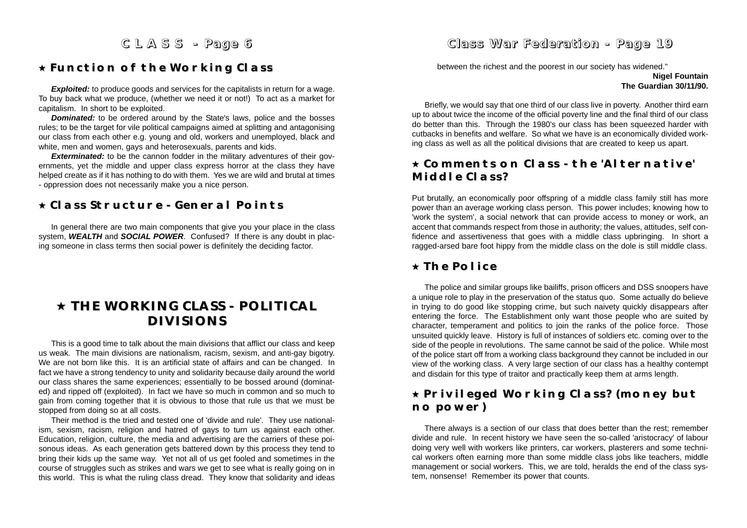### **Function of the Working Class Function of the Working Class**

**Exploited:** to produce goods and services for the capitalists in return for a wage. To buy back what we produce, (whether we need it or not!) To act as a market for capitalism. In short to be exploited.

*Dominated:* to be ordered around by the State's laws, police and the bosses rules; to be the target for vile political campaigns aimed at splitting and antagonising our class from each other e.g. young and old, workers and unemployed, black and white, men and women, gays and heterosexuals, parents and kids.

**Exterminated:** to be the cannon fodder in the military adventures of their governments, yet the middle and upper class express horror at the class they have helped create as if it has nothing to do with them. Yes we are wild and brutal at times - oppression does not necessarily make you a nice person.

### **Class Structure - General Points Class Structure - General Points**

In general there are two main components that give you your place in the class system, *WEALTH* and *SOCIAL POWER*. Confused? If there is any doubt in placing someone in class terms then social power is definitely the deciding factor.

# **THE WORKING CLASS - POLITICAL THE WORKING CLASS - POLITICAL DIVISIONS DIVISIONS**

This is a good time to talk about the main divisions that afflict our class and keep us weak. The main divisions are nationalism, racism, sexism, and anti-gay bigotry. We are not born like this. It is an artificial state of affairs and can be changed. In fact we have a strong tendency to unity and solidarity because daily around the world our class shares the same experiences; essentially to be bossed around (dominated) and ripped off (exploited). In fact we have so much in common and so much to gain from coming together that it is obvious to those that rule us that we must be stopped from doing so at all costs.

Their method is the tried and tested one of 'divide and rule'. They use nationalism, sexism, racism, religion and hatred of gays to turn us against each other. Education, religion, culture, the media and advertising are the carriers of these poisonous ideas. As each generation gets battered down by this process they tend to bring their kids up the same way. Yet not all of us get fooled and sometimes in the course of struggles such as strikes and wars we get to see what is really going on in this world. This is what the ruling class dread. They know that solidarity and ideas

### *Class War Fe d eration - Pag e 19*

between the richest and the poorest in our society has widened."

#### **Nigel Fountain The Guardian 30/11/90.**

Briefly, we would say that one third of our class live in poverty. Another third earn up to about twice the income of the official poverty line and the final third of our class do better than this. Through the 1980's our class has been squeezed harder with cutbacks in benefits and welfare. So what we have is an economically divided working class as well as all the political divisions that are created to keep us apart.

### **Comments on Class - the 'Alternative' Comments on Class - the 'Alternative' Middle Class? Middle Class?**

Put brutally, an economically poor offspring of a middle class family still has more power than an average working class person. This power includes; knowing how to 'work the system', a social network that can provide access to money or work, an accent that commands respect from those in authority; the values, attitudes, self confidence and assertiveness that goes with a middle class upbringing. In short a ragged-arsed bare foot hippy from the middle class on the dole is still middle class.

### **The Police The Police**

The police and similar groups like bailiffs, prison officers and DSS snoopers have a unique role to play in the preservation of the status quo. Some actually do believe in trying to do good like stopping crime, but such naivety quickly disappears after entering the force. The Establishment only want those people who are suited by character, temperament and politics to join the ranks of the police force. Those unsuited quickly leave. History is full of instances of soldiers etc. coming over to the side of the people in revolutions. The same cannot be said of the police. While most of the police start off from a working class background they cannot be included in our view of the working class. A very large section of our class has a healthy contempt and disdain for this type of traitor and practically keep them at arms length.

# **Privileged Working Class? (money but Privileged Working Class? (money but no power) no power)**

There always is a section of our class that does better than the rest; remember divide and rule. In recent history we have seen the so-called 'aristocracy' of labour doing very well with workers like printers, car workers, plasterers and some technical workers often earning more than some middle class jobs like teachers, middle management or social workers. This, we are told, heralds the end of the class system, nonsense! Remember its power that counts.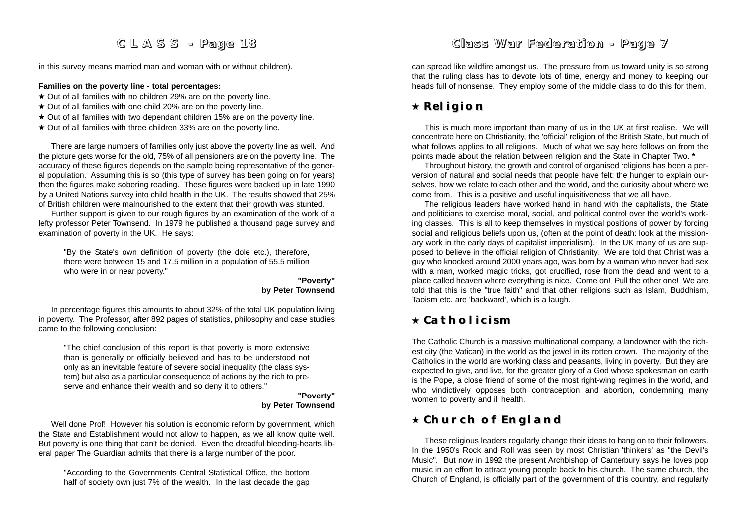in this survey means married man and woman with or without children).

#### **Families on the poverty line - total percentages:**

- $\star$  Out of all families with no children 29% are on the poverty line.
- $\star$  Out of all families with one child 20% are on the poverty line.
- $\star$  Out of all families with two dependant children 15% are on the poverty line.
- $\star$  Out of all families with three children 33% are on the poverty line.

There are large numbers of families only just above the poverty line as well. And the picture gets worse for the old, 75% of all pensioners are on the poverty line. The accuracy of these figures depends on the sample being representative of the general population. Assuming this is so (this type of survey has been going on for years) then the figures make sobering reading. These figures were backed up in late 1990 by a United Nations survey into child health in the UK. The results showed that 25% of British children were malnourished to the extent that their growth was stunted.

Further support is given to our rough figures by an examination of the work of a lefty professor Peter Townsend. In 1979 he published a thousand page survey and examination of poverty in the UK. He says:

"By the State's own definition of poverty (the dole etc.), therefore, there were between 15 and 17.5 million in a population of 55.5 million who were in or near poverty."

#### **"Poverty" by Peter Townsend**

In percentage figures this amounts to about 32% of the total UK population living in poverty. The Professor, after 892 pages of statistics, philosophy and case studies came to the following conclusion:

"The chief conclusion of this report is that poverty is more extensive than is generally or officially believed and has to be understood not only as an inevitable feature of severe social inequality (the class system) but also as a particular consequence of actions by the rich to preserve and enhance their wealth and so deny it to others."

#### **"Poverty" by Peter Townsend**

Well done Prof! However his solution is economic reform by government, which the State and Establishment would not allow to happen, as we all know quite well. But poverty is one thing that can't be denied. Even the dreadful bleeding-hearts liberal paper The Guardian admits that there is a large number of the poor.

"According to the Governments Central Statistical Office, the bottom half of society own just 7% of the wealth. In the last decade the gap

# *Class War Fe d eration - Pag e 7*

can spread like wildfire amongst us. The pressure from us toward unity is so strong that the ruling class has to devote lots of time, energy and money to keeping our heads full of nonsense. They employ some of the middle class to do this for them.

# **Religion**

This is much more important than many of us in the UK at first realise. We will concentrate here on Christianity, the 'official' religion of the British State, but much of what follows applies to all religions. Much of what we say here follows on from the points made about the relation between religion and the State in Chapter Two. **\***

Throughout history, the growth and control of organised religions has been a perversion of natural and social needs that people have felt: the hunger to explain ourselves, how we relate to each other and the world, and the curiosity about where we come from. This is a positive and useful inquisitiveness that we all have.

The religious leaders have worked hand in hand with the capitalists, the State and politicians to exercise moral, social, and political control over the world's working classes. This is all to keep themselves in mystical positions of power by forcing social and religious beliefs upon us, (often at the point of death: look at the missionary work in the early days of capitalist imperialism). In the UK many of us are supposed to believe in the official religion of Christianity. We are told that Christ was a guy who knocked around 2000 years ago, was born by a woman who never had sex with a man, worked magic tricks, got crucified, rose from the dead and went to a place called heaven where everything is nice. Come on! Pull the other one! We are told that this is the "true faith" and that other religions such as Islam, Buddhism, Taoism etc. are 'backward', which is a laugh.

### **Catholicism**

The Catholic Church is a massive multinational company, a landowner with the richest city (the Vatican) in the world as the jewel in its rotten crown. The majority of the Catholics in the world are working class and peasants, living in poverty. But they are expected to give, and live, for the greater glory of a God whose spokesman on earth is the Pope, a close friend of some of the most right-wing regimes in the world, and who vindictively opposes both contraception and abortion, condemning many women to poverty and ill health.

### **Church of England**

These religious leaders regularly change their ideas to hang on to their followers. In the 1950's Rock and Roll was seen by most Christian 'thinkers' as "the Devil's Music". But now in 1992 the present Archbishop of Canterbury says he loves pop music in an effort to attract young people back to his church. The same church, the Church of England, is officially part of the government of this country, and regularly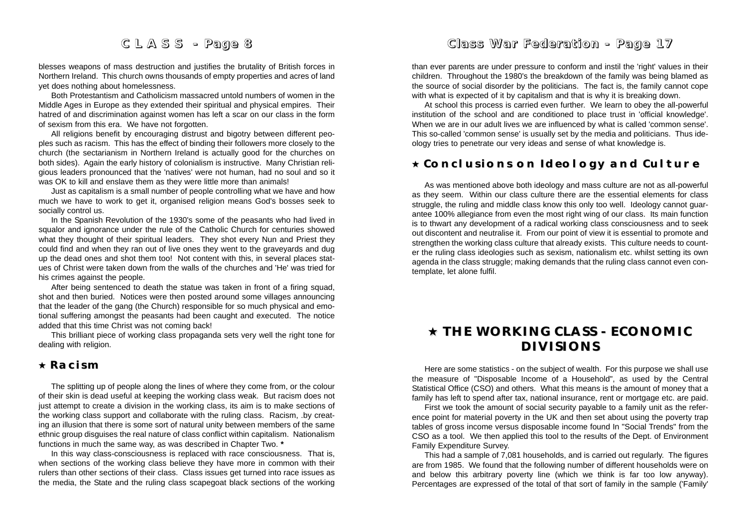blesses weapons of mass destruction and justifies the brutality of British forces in Northern Ireland. This church owns thousands of empty properties and acres of land yet does nothing about homelessness.

Both Protestantism and Catholicism massacred untold numbers of women in the Middle Ages in Europe as they extended their spiritual and physical empires. Their hatred of and discrimination against women has left a scar on our class in the form of sexism from this era. We have not forgotten.

All religions benefit by encouraging distrust and bigotry between different peoples such as racism. This has the effect of binding their followers more closely to the church (the sectarianism in Northern Ireland is actually good for the churches on both sides). Again the early history of colonialism is instructive. Many Christian religious leaders pronounced that the 'natives' were not human, had no soul and so it was OK to kill and enslave them as they were little more than animals!

Just as capitalism is a small number of people controlling what we have and how much we have to work to get it, organised religion means God's bosses seek to socially control us.

In the Spanish Revolution of the 1930's some of the peasants who had lived in squalor and ignorance under the rule of the Catholic Church for centuries showed what they thought of their spiritual leaders. They shot every Nun and Priest they could find and when they ran out of live ones they went to the graveyards and dug up the dead ones and shot them too! Not content with this, in several places statues of Christ were taken down from the walls of the churches and 'He' was tried for his crimes against the people.

After being sentenced to death the statue was taken in front of a firing squad, shot and then buried. Notices were then posted around some villages announcing that the leader of the gang (the Church) responsible for so much physical and emotional suffering amongst the peasants had been caught and executed. The notice added that this time Christ was not coming back!

This brilliant piece of working class propaganda sets very well the right tone for dealing with religion.

### **Racism**

The splitting up of people along the lines of where they come from, or the colour of their skin is dead useful at keeping the working class weak. But racism does not just attempt to create a division in the working class, its aim is to make sections of the working class support and collaborate with the ruling class. Racism, .by creating an illusion that there is some sort of natural unity between members of the same ethnic group disguises the real nature of class conflict within capitalism. Nationalism functions in much the same way, as was described in Chapter Two. **\***

In this way class-consciousness is replaced with race consciousness. That is, when sections of the working class believe they have more in common with their rulers than other sections of their class. Class issues get turned into race issues as the media, the State and the ruling class scapegoat black sections of the working

# *Class War Fe d eration - Pag e 17*

than ever parents are under pressure to conform and instil the 'right' values in their children. Throughout the 1980's the breakdown of the family was being blamed as the source of social disorder by the politicians. The fact is, the family cannot cope with what is expected of it by capitalism and that is why it is breaking down.

At school this process is carried even further. We learn to obey the all-powerful institution of the school and are conditioned to place trust in 'official knowledge'. When we are in our adult lives we are influenced by what is called 'common sense'. This so-called 'common sense' is usually set by the media and politicians. Thus ideology tries to penetrate our very ideas and sense of what knowledge is.

### **Conclusions on Ideology and Culture Conclusions on Ideology and Culture**

As was mentioned above both ideology and mass culture are not as all-powerful as they seem. Within our class culture there are the essential elements for class struggle, the ruling and middle class know this only too well. Ideology cannot guarantee 100% allegiance from even the most right wing of our class. Its main function is to thwart any development of a radical working class consciousness and to seek out discontent and neutralise it. From our point of view it is essential to promote and strengthen the working class culture that already exists. This culture needs to counter the ruling class ideologies such as sexism, nationalism etc. whilst setting its own agenda in the class struggle; making demands that the ruling class cannot even contemplate, let alone fulfil.

# **THE WORKING CLASS - ECONOMIC THE WORKING CLASS - ECONOMIC DIVISIONS DIVISIONS**

Here are some statistics - on the subject of wealth. For this purpose we shall use the measure of "Disposable Income of a Household", as used by the Central Statistical Office (CSO) and others. What this means is the amount of money that a family has left to spend after tax, national insurance, rent or mortgage etc. are paid.

First we took the amount of social security payable to a family unit as the reference point for material poverty in the UK and then set about using the poverty trap tables of gross income versus disposable income found In "Social Trends" from the CSO as a tool. We then applied this tool to the results of the Dept. of Environment Family Expenditure Survey.

This had a sample of 7,081 households, and is carried out regularly. The figures are from 1985. We found that the following number of different households were on and below this arbitrary poverty line (which we think is far too low anyway). Percentages are expressed of the total of that sort of family in the sample ('Family'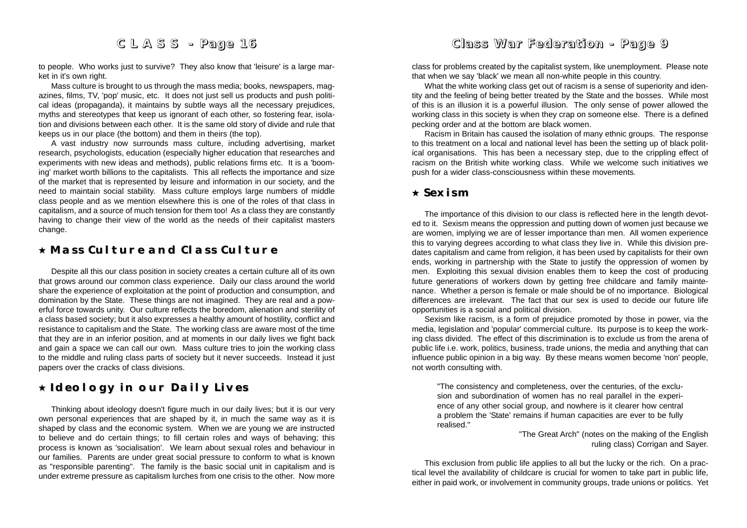to people. Who works just to survive? They also know that 'leisure' is a large market in it's own right.

Mass culture is brought to us through the mass media; books, newspapers, magazines, films, TV, 'pop' music, etc. It does not just sell us products and push political ideas (propaganda), it maintains by subtle ways all the necessary prejudices, myths and stereotypes that keep us ignorant of each other, so fostering fear, isolation and divisions between each other. It is the same old story of divide and rule that keeps us in our place (the bottom) and them in theirs (the top).

A vast industry now surrounds mass culture, including advertising, market research, psychologists, education (especially higher education that researches and experiments with new ideas and methods), public relations firms etc. It is a 'booming' market worth billions to the capitalists. This all reflects the importance and size of the market that is represented by leisure and information in our society, and the need to maintain social stability. Mass culture employs large numbers of middle class people and as we mention elsewhere this is one of the roles of that class in capitalism, and a source of much tension for them too! As a class they are constantly having to change their view of the world as the needs of their capitalist masters change.

### **Mass Culture and Class Culture Mass Culture and Class Culture**

Despite all this our class position in society creates a certain culture all of its own that grows around our common class experience. Daily our class around the world share the experience of exploitation at the point of production and consumption, and domination by the State. These things are not imagined. They are real and a powerful force towards unity. Our culture reflects the boredom, alienation and sterility of a class based society; but it also expresses a healthy amount of hostility, conflict and resistance to capitalism and the State. The working class are aware most of the time that they are in an inferior position, and at moments in our daily lives we fight back and gain a space we can call our own. Mass culture tries to join the working class to the middle and ruling class parts of society but it never succeeds. Instead it just papers over the cracks of class divisions.

# **Ideology in our Daily Lives Ideology in our Daily Lives**

Thinking about ideology doesn't figure much in our daily lives; but it is our very own personal experiences that are shaped by it, in much the same way as it is shaped by class and the economic system. When we are young we are instructed to believe and do certain things; to fill certain roles and ways of behaving; this process is known as 'socialisation'. We learn about sexual roles and behaviour in our families. Parents are under great social pressure to conform to what is known as "responsible parenting". The family is the basic social unit in capitalism and is under extreme pressure as capitalism lurches from one crisis to the other. Now more

# *Class War Fe d eration - Pag e 9*

class for problems created by the capitalist system, like unemployment. Please note that when we say 'black' we mean all non-white people in this country.

What the white working class get out of racism is a sense of superiority and identity and the feeling of being better treated by the State and the bosses. While most of this is an illusion it is a powerful illusion. The only sense of power allowed the working class in this society is when they crap on someone else. There is a defined pecking order and at the bottom are black women.

Racism in Britain has caused the isolation of many ethnic groups. The response to this treatment on a local and national level has been the setting up of black political organisations. This has been a necessary step, due to the crippling effect of racism on the British white working class. While we welcome such initiatives we push for a wider class-consciousness within these movements.

### **Sexism**

The importance of this division to our class is reflected here in the length devoted to it. Sexism means the oppression and putting down of women just because we are women, implying we are of lesser importance than men. All women experience this to varying degrees according to what class they live in. While this division predates capitalism and came from religion, it has been used by capitalists for their own ends, working in partnership with the State to justify the oppression of women by men. Exploiting this sexual division enables them to keep the cost of producing future generations of workers down by getting free childcare and family maintenance. Whether a person is female or male should be of no importance. Biological differences are irrelevant. The fact that our sex is used to decide our future life opportunities is a social and political division.

Sexism like racism, is a form of prejudice promoted by those in power, via the media, legislation and 'popular' commercial culture. Its purpose is to keep the working class divided. The effect of this discrimination is to exclude us from the arena of public life i.e. work, politics, business, trade unions, the media and anything that can influence public opinion in a big way. By these means women become 'non' people, not worth consulting with.

"The consistency and completeness, over the centuries, of the exclusion and subordination of women has no real parallel in the experience of any other social group, and nowhere is it clearer how central a problem the 'State' remains if human capacities are ever to be fully realised."

> "The Great Arch" (notes on the making of the English ruling class) Corrigan and Sayer.

This exclusion from public life applies to all but the lucky or the rich. On a practical level the availability of childcare is crucial for women to take part in public life, either in paid work, or involvement in community groups, trade unions or politics. Yet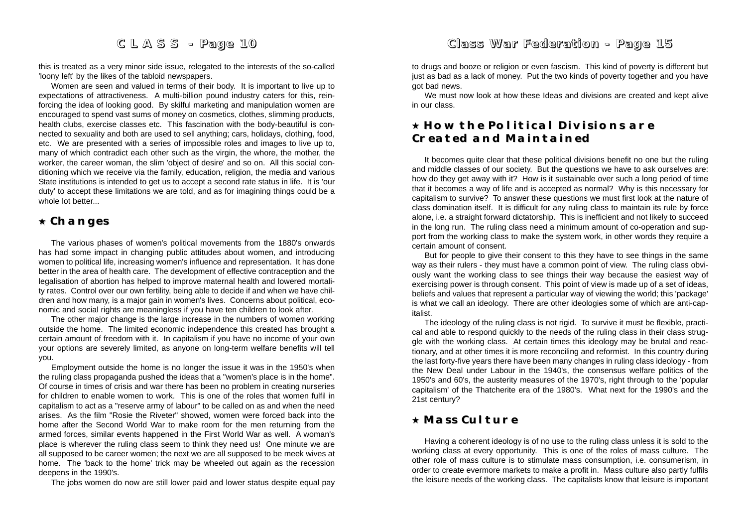this is treated as a very minor side issue, relegated to the interests of the so-called 'loony left' by the likes of the tabloid newspapers.

Women are seen and valued in terms of their body. It is important to live up to expectations of attractiveness. A multi-billion pound industry caters for this, reinforcing the idea of looking good. By skilful marketing and manipulation women are encouraged to spend vast sums of money on cosmetics, clothes, slimming products, health clubs, exercise classes etc. This fascination with the body-beautiful is connected to sexuality and both are used to sell anything; cars, holidays, clothing, food, etc. We are presented with a series of impossible roles and images to live up to, many of which contradict each other such as the virgin, the whore, the mother, the worker, the career woman, the slim 'object of desire' and so on. All this social conditioning which we receive via the family, education, religion, the media and various State institutions is intended to get us to accept a second rate status in life. It is 'our duty' to accept these limitations we are told, and as for imagining things could be a whole lot better...

### **Changes Changes**

The various phases of women's political movements from the 1880's onwards has had some impact in changing public attitudes about women, and introducing women to political life, increasing women's influence and representation. It has done better in the area of health care. The development of effective contraception and the legalisation of abortion has helped to improve maternal health and lowered mortality rates. Control over our own fertility, being able to decide if and when we have children and how many, is a major gain in women's lives. Concerns about political, economic and social rights are meaningless if you have ten children to look after.

The other major change is the large increase in the numbers of women working outside the home. The limited economic independence this created has brought a certain amount of freedom with it. In capitalism if you have no income of your own your options are severely limited, as anyone on long-term welfare benefits will tell you.

Employment outside the home is no longer the issue it was in the 1950's when the ruling class propaganda pushed the ideas that a "women's place is in the home". Of course in times of crisis and war there has been no problem in creating nurseries for children to enable women to work. This is one of the roles that women fulfil in capitalism to act as a "reserve army of labour" to be called on as and when the need arises. As the film "Rosie the Riveter" showed, women were forced back into the home after the Second World War to make room for the men returning from the armed forces, similar events happened in the First World War as well. A woman's place is wherever the ruling class seem to think they need us! One minute we are all supposed to be career women; the next we are all supposed to be meek wives at home. The 'back to the home' trick may be wheeled out again as the recession deepens in the 1990's.

The jobs women do now are still lower paid and lower status despite equal pay

## *Class War Fe d eration - Pag e 15*

to drugs and booze or religion or even fascism. This kind of poverty is different but just as bad as a lack of money. Put the two kinds of poverty together and you have got bad news.

We must now look at how these Ideas and divisions are created and kept alive in our class.

# **How the Political Divisions are How the Political Divisions are Created and Maintained**

It becomes quite clear that these political divisions benefit no one but the ruling and middle classes of our society. But the questions we have to ask ourselves are: how do they get away with it? How is it sustainable over such a long period of time that it becomes a way of life and is accepted as normal? Why is this necessary for capitalism to survive? To answer these questions we must first look at the nature of class domination itself. It is difficult for any ruling class to maintain its rule by force alone, i.e. a straight forward dictatorship. This is inefficient and not likely to succeed in the long run. The ruling class need a minimum amount of co-operation and support from the working class to make the system work, in other words they require a certain amount of consent.

But for people to give their consent to this they have to see things in the same way as their rulers - they must have a common point of view. The ruling class obviously want the working class to see things their way because the easiest way of exercising power is through consent. This point of view is made up of a set of ideas, beliefs and values that represent a particular way of viewing the world; this 'package' is what we call an ideology. There are other ideologies some of which are anti-capitalist.

The ideology of the ruling class is not rigid. To survive it must be flexible, practical and able to respond quickly to the needs of the ruling class in their class struggle with the working class. At certain times this ideology may be brutal and reactionary, and at other times it is more reconciling and reformist. In this country during the last forty-five years there have been many changes in ruling class ideology - from the New Deal under Labour in the 1940's, the consensus welfare politics of the 1950's and 60's, the austerity measures of the 1970's, right through to the 'popular capitalism' of the Thatcherite era of the 1980's. What next for the 1990's and the 21st century?

### **Mass Culture Mass Culture**

Having a coherent ideology is of no use to the ruling class unless it is sold to the working class at every opportunity. This is one of the roles of mass culture. The other role of mass culture is to stimulate mass consumption, i.e. consumerism, in order to create evermore markets to make a profit in. Mass culture also partly fulfils the leisure needs of the working class. The capitalists know that leisure is important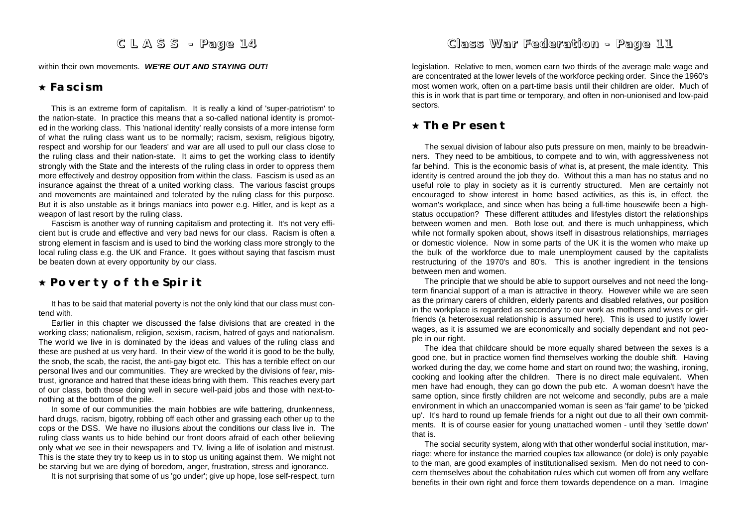within their own movements. *WE'RE OUT AND STAYING OUT!*

### **Fascism**

This is an extreme form of capitalism. It is really a kind of 'super-patriotism' to the nation-state. In practice this means that a so-called national identity is promoted in the working class. This 'national identity' really consists of a more intense form of what the ruling class want us to be normally; racism, sexism, religious bigotry, respect and worship for our 'leaders' and war are all used to pull our class close to the ruling class and their nation-state. It aims to get the working class to identify strongly with the State and the interests of the ruling class in order to oppress them more effectively and destroy opposition from within the class. Fascism is used as an insurance against the threat of a united working class. The various fascist groups and movements are maintained and tolerated by the ruling class for this purpose. But it is also unstable as it brings maniacs into power e.g. Hitler, and is kept as a weapon of last resort by the ruling class.

Fascism is another way of running capitalism and protecting it. It's not very efficient but is crude and effective and very bad news for our class. Racism is often a strong element in fascism and is used to bind the working class more strongly to the local ruling class e.g. the UK and France. It goes without saying that fascism must be beaten down at every opportunity by our class.

### **Poverty of the Spirit Poverty of the Spirit**

It has to be said that material poverty is not the only kind that our class must contend with.

Earlier in this chapter we discussed the false divisions that are created in the working class; nationalism, religion, sexism, racism, hatred of gays and nationalism. The world we live in is dominated by the ideas and values of the ruling class and these are pushed at us very hard. In their view of the world it is good to be the bully, the snob, the scab, the racist, the anti-gay bigot etc. This has a terrible effect on our personal lives and our communities. They are wrecked by the divisions of fear, mistrust, ignorance and hatred that these ideas bring with them. This reaches every part of our class, both those doing well in secure well-paid jobs and those with next-tonothing at the bottom of the pile.

In some of our communities the main hobbies are wife battering, drunkenness, hard drugs, racism, bigotry, robbing off each other and grassing each other up to the cops or the DSS. We have no illusions about the conditions our class live in. The ruling class wants us to hide behind our front doors afraid of each other believing only what we see in their newspapers and TV, living a life of isolation and mistrust. This is the state they try to keep us in to stop us uniting against them. We might not be starving but we are dying of boredom, anger, frustration, stress and ignorance.

It is not surprising that some of us 'go under'; give up hope, lose self-respect, turn

### *Class War Fe d eration - Pag e 11*

legislation. Relative to men, women earn two thirds of the average male wage and are concentrated at the lower levels of the workforce pecking order. Since the 1960's most women work, often on a part-time basis until their children are older. Much of this is in work that is part time or temporary, and often in non-unionised and low-paid sectors.

### **The Present The Present**

The sexual division of labour also puts pressure on men, mainly to be breadwinners. They need to be ambitious, to compete and to win, with aggressiveness not far behind. This is the economic basis of what is, at present, the male identity. This identity is centred around the job they do. Without this a man has no status and no useful role to play in society as it is currently structured. Men are certainly not encouraged to show interest in home based activities, as this is, in effect, the woman's workplace, and since when has being a full-time housewife been a highstatus occupation? These different attitudes and lifestyles distort the relationships between women and men. Both lose out, and there is much unhappiness, which while not formally spoken about, shows itself in disastrous relationships, marriages or domestic violence. Now in some parts of the UK it is the women who make up the bulk of the workforce due to male unemployment caused by the capitalists restructuring of the 1970's and 80's. This is another ingredient in the tensions between men and women.

The principle that we should be able to support ourselves and not need the longterm financial support of a man is attractive in theory. However while we are seen as the primary carers of children, elderly parents and disabled relatives, our position in the workplace is regarded as secondary to our work as mothers and wives or girlfriends (a heterosexual relationship is assumed here). This is used to justify lower wages, as it is assumed we are economically and socially dependant and not people in our right.

The idea that childcare should be more equally shared between the sexes is a good one, but in practice women find themselves working the double shift. Having worked during the day, we come home and start on round two; the washing, ironing, cooking and looking after the children. There is no direct male equivalent. When men have had enough, they can go down the pub etc. A woman doesn't have the same option, since firstly children are not welcome and secondly, pubs are a male environment in which an unaccompanied woman is seen as 'fair game' to be 'picked up'. It's hard to round up female friends for a night out due to all their own commitments. It is of course easier for young unattached women - until they 'settle down' that is.

The social security system, along with that other wonderful social institution, marriage; where for instance the married couples tax allowance (or dole) is only payable to the man, are good examples of institutionalised sexism. Men do not need to concern themselves about the cohabitation rules which cut women off from any welfare benefits in their own right and force them towards dependence on a man. Imagine